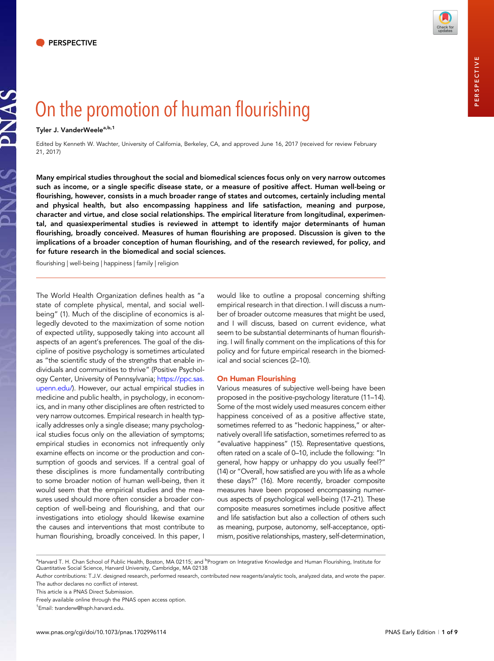

NAS

V<br>Z

Edited by Kenneth W. Wachter, University of California, Berkeley, CA, and approved June 16, 2017 (received for review February 21, 2017)

Many empirical studies throughout the social and biomedical sciences focus only on very narrow outcomes such as income, or a single specific disease state, or a measure of positive affect. Human well-being or flourishing, however, consists in a much broader range of states and outcomes, certainly including mental and physical health, but also encompassing happiness and life satisfaction, meaning and purpose, character and virtue, and close social relationships. The empirical literature from longitudinal, experimental, and quasiexperimental studies is reviewed in attempt to identify major determinants of human flourishing, broadly conceived. Measures of human flourishing are proposed. Discussion is given to the implications of a broader conception of human flourishing, and of the research reviewed, for policy, and for future research in the biomedical and social sciences.

flourishing | well-being | happiness | family | religion

The World Health Organization defines health as "a state of complete physical, mental, and social wellbeing" (1). Much of the discipline of economics is allegedly devoted to the maximization of some notion of expected utility, supposedly taking into account all aspects of an agent's preferences. The goal of the discipline of positive psychology is sometimes articulated as "the scientific study of the strengths that enable individuals and communities to thrive" (Positive Psychology Center, University of Pennsylvania; [https://ppc.sas.](https://ppc.sas.upenn.edu/) [upenn.edu/](https://ppc.sas.upenn.edu/)). However, our actual empirical studies in medicine and public health, in psychology, in economics, and in many other disciplines are often restricted to very narrow outcomes. Empirical research in health typically addresses only a single disease; many psychological studies focus only on the alleviation of symptoms; empirical studies in economics not infrequently only examine effects on income or the production and consumption of goods and services. If a central goal of these disciplines is more fundamentally contributing to some broader notion of human well-being, then it would seem that the empirical studies and the measures used should more often consider a broader conception of well-being and flourishing, and that our investigations into etiology should likewise examine the causes and interventions that most contribute to human flourishing, broadly conceived. In this paper, I would like to outline a proposal concerning shifting empirical research in that direction. I will discuss a number of broader outcome measures that might be used, and I will discuss, based on current evidence, what seem to be substantial determinants of human flourishing. I will finally comment on the implications of this for policy and for future empirical research in the biomedical and social sciences (2–10).

# On Human Flourishing

Various measures of subjective well-being have been proposed in the positive-psychology literature (11–14). Some of the most widely used measures concern either happiness conceived of as a positive affective state, sometimes referred to as "hedonic happiness," or alternatively overall life satisfaction, sometimes referred to as "evaluative happiness" (15). Representative questions, often rated on a scale of 0–10, include the following: "In general, how happy or unhappy do you usually feel?" (14) or "Overall, how satisfied are you with life as a whole these days?" (16). More recently, broader composite measures have been proposed encompassing numerous aspects of psychological well-being (17–21). These composite measures sometimes include positive affect and life satisfaction but also a collection of others such as meaning, purpose, autonomy, self-acceptance, optimism, positive relationships, mastery, self-determination,

<sup>&</sup>lt;sup>a</sup>Harvard T. H. Chan School of Public Health, Boston, MA 02115; and <sup>b</sup>Program on Integrative Knowledge and Human Flourishing, Institute for Quantitative Social Science, Harvard University, Cambridge, MA 02138

Author contributions: T.J.V. designed research, performed research, contributed new reagents/analytic tools, analyzed data, and wrote the paper. The author declares no conflict of interest.

This article is a PNAS Direct Submission.

Freely available online through the PNAS open access option.

<sup>1</sup> Email: [tvanderw@hsph.harvard.edu.](mailto:tvanderw@hsph.harvard.edu)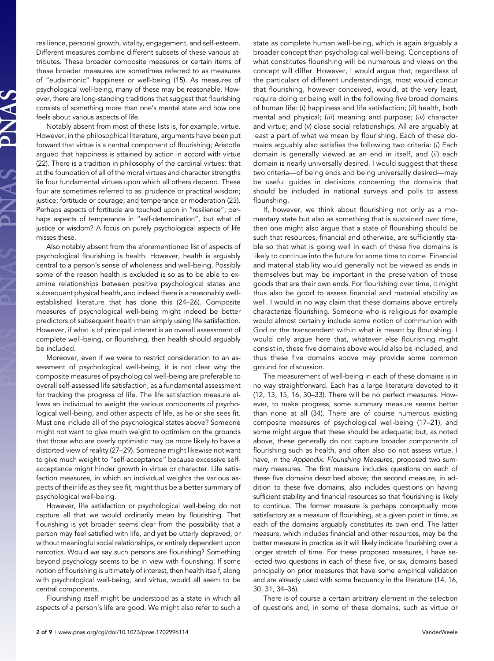resilience, personal growth, vitality, engagement, and self-esteem. Different measures combine different subsets of these various attributes. These broader composite measures or certain items of these broader measures are sometimes referred to as measures of "eudaimonic" happiness or well-being (15). As measures of psychological well-being, many of these may be reasonable. However, there are long-standing traditions that suggest that flourishing consists of something more than one's mental state and how one feels about various aspects of life.

Notably absent from most of these lists is, for example, virtue. However, in the philosophical literature, arguments have been put forward that virtue is a central component of flourishing; Aristotle argued that happiness is attained by action in accord with virtue (22). There is a tradition in philosophy of the cardinal virtues: that at the foundation of all of the moral virtues and character strengths lie four fundamental virtues upon which all others depend. These four are sometimes referred to as: prudence or practical wisdom; justice; fortitude or courage; and temperance or moderation (23). Perhaps aspects of fortitude are touched upon in "resilience"; perhaps aspects of temperance in "self-determination", but what of justice or wisdom? A focus on purely psychological aspects of life misses these.

Also notably absent from the aforementioned list of aspects of psychological flourishing is health. However, health is arguably central to a person's sense of wholeness and well-being. Possibly some of the reason health is excluded is so as to be able to examine relationships between positive psychological states and subsequent physical health, and indeed there is a reasonably wellestablished literature that has done this (24–26). Composite measures of psychological well-being might indeed be better predictors of subsequent health than simply using life satisfaction. However, if what is of principal interest is an overall assessment of complete well-being, or flourishing, then health should arguably be included.

Moreover, even if we were to restrict consideration to an assessment of psychological well-being, it is not clear why the composite measures of psychological well-being are preferable to overall self-assessed life satisfaction, as a fundamental assessment for tracking the progress of life. The life satisfaction measure allows an individual to weight the various components of psychological well-being, and other aspects of life, as he or she sees fit. Must one include all of the psychological states above? Someone might not want to give much weight to optimism on the grounds that those who are overly optimistic may be more likely to have a distorted view of reality (27–29). Someone might likewise not want to give much weight to "self-acceptance" because excessive selfacceptance might hinder growth in virtue or character. Life satisfaction measures, in which an individual weights the various aspects of their life as they see fit, might thus be a better summary of psychological well-being.

However, life satisfaction or psychological well-being do not capture all that we would ordinarily mean by flourishing. That flourishing is yet broader seems clear from the possibility that a person may feel satisfied with life, and yet be utterly depraved, or without meaningful social relationships, or entirely dependent upon narcotics. Would we say such persons are flourishing? Something beyond psychology seems to be in view with flourishing. If some notion of flourishing is ultimately of interest, then health itself, along with psychological well-being, and virtue, would all seem to be central components.

Flourishing itself might be understood as a state in which all aspects of a person's life are good. We might also refer to such a state as complete human well-being, which is again arguably a broader concept than psychological well-being. Conceptions of what constitutes flourishing will be numerous and views on the concept will differ. However, I would argue that, regardless of the particulars of different understandings, most would concur that flourishing, however conceived, would, at the very least, require doing or being well in the following five broad domains of human life: (i) happiness and life satisfaction; (ii) health, both mental and physical; (iii) meaning and purpose; (iv) character and virtue; and (v) close social relationships. All are arguably at least a part of what we mean by flourishing. Each of these domains arguably also satisfies the following two criteria: (i) Each domain is generally viewed as an end in itself, and (ii) each domain is nearly universally desired. I would suggest that these two criteria—of being ends and being universally desired—may be useful guides in decisions concerning the domains that should be included in national surveys and polls to assess flourishing.

If, however, we think about flourishing not only as a momentary state but also as something that is sustained over time, then one might also argue that a state of flourishing should be such that resources, financial and otherwise, are sufficiently stable so that what is going well in each of these five domains is likely to continue into the future for some time to come. Financial and material stability would generally not be viewed as ends in themselves but may be important in the preservation of those goods that are their own ends. For flourishing over time, it might thus also be good to assess financial and material stability as well. I would in no way claim that these domains above entirely characterize flourishing. Someone who is religious for example would almost certainly include some notion of communion with God or the transcendent within what is meant by flourishing. I would only argue here that, whatever else flourishing might consist in, these five domains above would also be included, and thus these five domains above may provide some common ground for discussion.

The measurement of well-being in each of these domains is in no way straightforward. Each has a large literature devoted to it (12, 13, 15, 16, 30–33). There will be no perfect measures. However, to make progress, some summary measure seems better than none at all (34). There are of course numerous existing composite measures of psychological well-being (17–21), and some might argue that these should be adequate; but, as noted above, these generally do not capture broader components of flourishing such as health, and often also do not assess virtue. I have, in the Appendix: Flourishing Measures, proposed two summary measures. The first measure includes questions on each of these five domains described above; the second measure, in addition to these five domains, also includes questions on having sufficient stability and financial resources so that flourishing is likely to continue. The former measure is perhaps conceptually more satisfactory as a measure of flourishing, at a given point in time, as each of the domains arguably constitutes its own end. The latter measure, which includes financial and other resources, may be the better measure in practice as it will likely indicate flourishing over a longer stretch of time. For these proposed measures, I have selected two questions in each of these five, or six, domains based principally on prior measures that have some empirical validation and are already used with some frequency in the literature (14, 16, 30, 31, 34–36).

There is of course a certain arbitrary element in the selection of questions and, in some of these domains, such as virtue or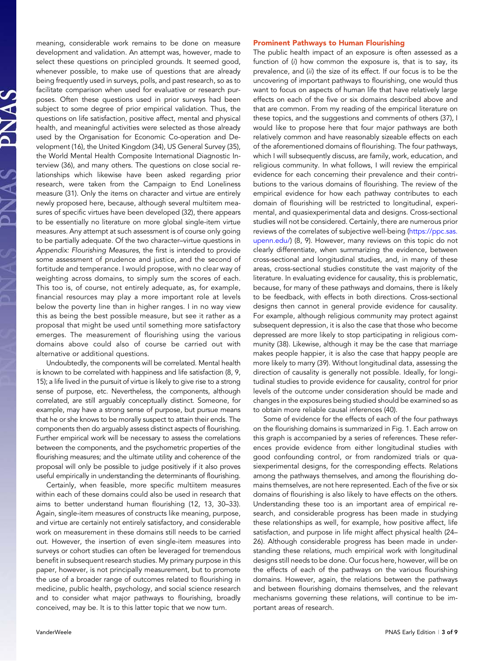meaning, considerable work remains to be done on measure development and validation. An attempt was, however, made to select these questions on principled grounds. It seemed good, whenever possible, to make use of questions that are already being frequently used in surveys, polls, and past research, so as to facilitate comparison when used for evaluative or research purposes. Often these questions used in prior surveys had been subject to some degree of prior empirical validation. Thus, the questions on life satisfaction, positive affect, mental and physical health, and meaningful activities were selected as those already used by the Organisation for Economic Co-operation and Development (16), the United Kingdom (34), US General Survey (35), the World Mental Health Composite International Diagnostic Interview (36), and many others. The questions on close social relationships which likewise have been asked regarding prior research, were taken from the Campaign to End Loneliness measure (31). Only the items on character and virtue are entirely newly proposed here, because, although several multiitem measures of specific virtues have been developed (32), there appears to be essentially no literature on more global single-item virtue measures. Any attempt at such assessment is of course only going to be partially adequate. Of the two character–virtue questions in Appendix: Flourishing Measures, the first is intended to provide some assessment of prudence and justice, and the second of fortitude and temperance. I would propose, with no clear way of weighting across domains, to simply sum the scores of each. This too is, of course, not entirely adequate, as, for example, financial resources may play a more important role at levels below the poverty line than in higher ranges. I in no way view this as being the best possible measure, but see it rather as a proposal that might be used until something more satisfactory emerges. The measurement of flourishing using the various domains above could also of course be carried out with alternative or additional questions.

Undoubtedly, the components will be correlated. Mental health is known to be correlated with happiness and life satisfaction (8, 9, 15); a life lived in the pursuit of virtue is likely to give rise to a strong sense of purpose, etc. Nevertheless, the components, although correlated, are still arguably conceptually distinct. Someone, for example, may have a strong sense of purpose, but pursue means that he or she knows to be morally suspect to attain their ends. The components then do arguably assess distinct aspects of flourishing. Further empirical work will be necessary to assess the correlations between the components, and the psychometric properties of the flourishing measures; and the ultimate utility and coherence of the proposal will only be possible to judge positively if it also proves useful empirically in understanding the determinants of flourishing.

Certainly, when feasible, more specific multiitem measures within each of these domains could also be used in research that aims to better understand human flourishing (12, 13, 30–33). Again, single-item measures of constructs like meaning, purpose, and virtue are certainly not entirely satisfactory, and considerable work on measurement in these domains still needs to be carried out. However, the insertion of even single-item measures into surveys or cohort studies can often be leveraged for tremendous benefit in subsequent research studies. My primary purpose in this paper, however, is not principally measurement, but to promote the use of a broader range of outcomes related to flourishing in medicine, public health, psychology, and social science research and to consider what major pathways to flourishing, broadly conceived, may be. It is to this latter topic that we now turn.

# Prominent Pathways to Human Flourishing

The public health impact of an exposure is often assessed as a function of (i) how common the exposure is, that is to say, its prevalence, and (ii) the size of its effect. If our focus is to be the uncovering of important pathways to flourishing, one would thus want to focus on aspects of human life that have relatively large effects on each of the five or six domains described above and that are common. From my reading of the empirical literature on these topics, and the suggestions and comments of others (37), I would like to propose here that four major pathways are both relatively common and have reasonably sizeable effects on each of the aforementioned domains of flourishing. The four pathways, which I will subsequently discuss, are family, work, education, and religious community. In what follows, I will review the empirical evidence for each concerning their prevalence and their contributions to the various domains of flourishing. The review of the empirical evidence for how each pathway contributes to each domain of flourishing will be restricted to longitudinal, experimental, and quasiexperimental data and designs. Cross-sectional studies will not be considered. Certainly, there are numerous prior reviews of the correlates of subjective well-being ([https://ppc.sas.](https://ppc.sas.upenn.edu/) [upenn.edu/\)](https://ppc.sas.upenn.edu/) (8, 9). However, many reviews on this topic do not clearly differentiate, when summarizing the evidence, between cross-sectional and longitudinal studies, and, in many of these areas, cross-sectional studies constitute the vast majority of the literature. In evaluating evidence for causality, this is problematic, because, for many of these pathways and domains, there is likely to be feedback, with effects in both directions. Cross-sectional designs then cannot in general provide evidence for causality. For example, although religious community may protect against subsequent depression, it is also the case that those who become depressed are more likely to stop participating in religious community (38). Likewise, although it may be the case that marriage makes people happier, it is also the case that happy people are more likely to marry (39). Without longitudinal data, assessing the direction of causality is generally not possible. Ideally, for longitudinal studies to provide evidence for causality, control for prior levels of the outcome under consideration should be made and changes in the exposures being studied should be examined so as to obtain more reliable causal inferences (40).

Some of evidence for the effects of each of the four pathways on the flourishing domains is summarized in Fig. 1. Each arrow on this graph is accompanied by a series of references. These references provide evidence from either longitudinal studies with good confounding control, or from randomized trials or quasiexperimental designs, for the corresponding effects. Relations among the pathways themselves, and among the flourishing domains themselves, are not here represented. Each of the five or six domains of flourishing is also likely to have effects on the others. Understanding these too is an important area of empirical research, and considerable progress has been made in studying these relationships as well, for example, how positive affect, life satisfaction, and purpose in life might affect physical health (24– 26). Although considerable progress has been made in understanding these relations, much empirical work with longitudinal designs still needs to be done. Our focus here, however, will be on the effects of each of the pathways on the various flourishing domains. However, again, the relations between the pathways and between flourishing domains themselves, and the relevant mechanisms governing these relations, will continue to be important areas of research.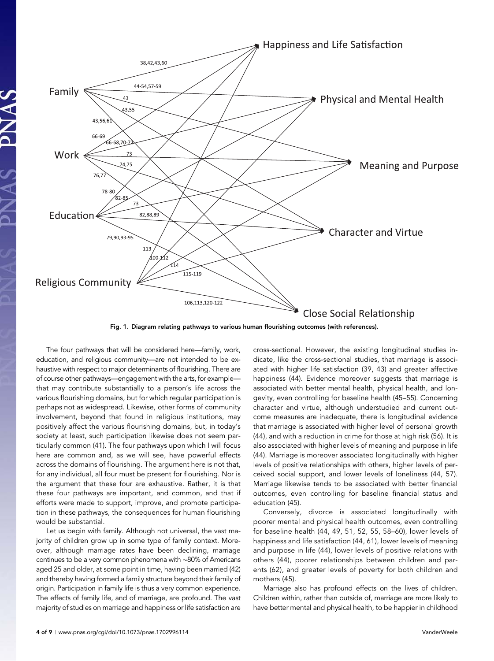

Fig. 1. Diagram relating pathways to various human flourishing outcomes (with references).

The four pathways that will be considered here—family, work, education, and religious community—are not intended to be exhaustive with respect to major determinants of flourishing. There are of course other pathways—engagement with the arts, for example that may contribute substantially to a person's life across the various flourishing domains, but for which regular participation is perhaps not as widespread. Likewise, other forms of community involvement, beyond that found in religious institutions, may positively affect the various flourishing domains, but, in today's society at least, such participation likewise does not seem particularly common (41). The four pathways upon which I will focus here are common and, as we will see, have powerful effects across the domains of flourishing. The argument here is not that, for any individual, all four must be present for flourishing. Nor is the argument that these four are exhaustive. Rather, it is that these four pathways are important, and common, and that if efforts were made to support, improve, and promote participation in these pathways, the consequences for human flourishing would be substantial.

Let us begin with family. Although not universal, the vast majority of children grow up in some type of family context. Moreover, although marriage rates have been declining, marriage continues to be a very common phenomena with ∼80% of Americans aged 25 and older, at some point in time, having been married (42) and thereby having formed a family structure beyond their family of origin. Participation in family life is thus a very common experience. The effects of family life, and of marriage, are profound. The vast majority of studies on marriage and happiness or life satisfaction are cross-sectional. However, the existing longitudinal studies indicate, like the cross-sectional studies, that marriage is associated with higher life satisfaction (39, 43) and greater affective happiness (44). Evidence moreover suggests that marriage is associated with better mental health, physical health, and longevity, even controlling for baseline health (45–55). Concerning character and virtue, although understudied and current outcome measures are inadequate, there is longitudinal evidence that marriage is associated with higher level of personal growth (44), and with a reduction in crime for those at high risk (56). It is also associated with higher levels of meaning and purpose in life (44). Marriage is moreover associated longitudinally with higher levels of positive relationships with others, higher levels of perceived social support, and lower levels of loneliness (44, 57). Marriage likewise tends to be associated with better financial outcomes, even controlling for baseline financial status and education (45).

Conversely, divorce is associated longitudinally with poorer mental and physical health outcomes, even controlling for baseline health (44, 49, 51, 52, 55, 58–60), lower levels of happiness and life satisfaction (44, 61), lower levels of meaning and purpose in life (44), lower levels of positive relations with others (44), poorer relationships between children and parents (62), and greater levels of poverty for both children and mothers (45).

Marriage also has profound effects on the lives of children. Children within, rather than outside of, marriage are more likely to have better mental and physical health, to be happier in childhood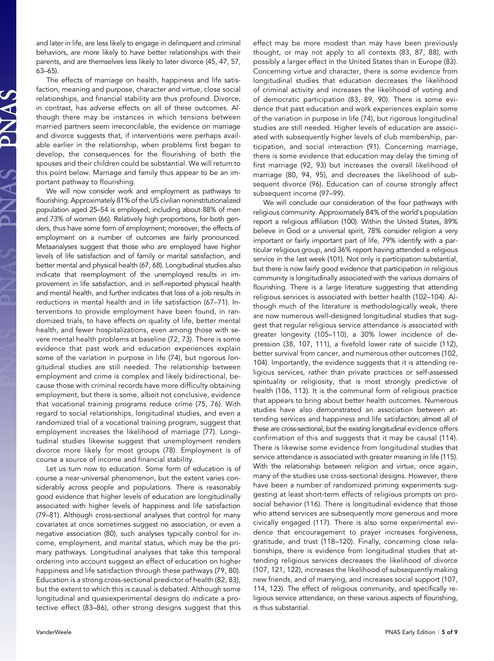and later in life, are less likely to engage in delinquent and criminal behaviors, are more likely to have better relationships with their parents, and are themselves less likely to later divorce (45, 47, 57, 63–65).

The effects of marriage on health, happiness and life satisfaction, meaning and purpose, character and virtue, close social relationships, and financial stability are thus profound. Divorce, in contrast, has adverse effects on all of these outcomes. Although there may be instances in which tensions between married partners seem irreconcilable, the evidence on marriage and divorce suggests that, if interventions were perhaps available earlier in the relationship, when problems first began to develop, the consequences for the flourishing of both the spouses and their children could be substantial. We will return to this point below. Marriage and family thus appear to be an important pathway to flourishing.

We will now consider work and employment as pathways to flourishing. Approximately 81% of the US civilian noninstitutionalized population aged 25–54 is employed, including about 88% of men and 73% of women (66). Relatively high proportions, for both genders, thus have some form of employment; moreover, the effects of employment on a number of outcomes are fairly pronounced. Metaanalyses suggest that those who are employed have higher levels of life satisfaction and of family or marital satisfaction, and better mental and physical health (67, 68). Longitudinal studies also indicate that reemployment of the unemployed results in improvement in life satisfaction, and in self-reported physical health and mental health, and further indicates that loss of a job results in reductions in mental health and in life satisfaction (67–71). Interventions to provide employment have been found, in randomized trials, to have effects on quality of life, better mental health, and fewer hospitalizations, even among those with severe mental health problems at baseline (72, 73). There is some evidence that past work and education experiences explain some of the variation in purpose in life (74), but rigorous longitudinal studies are still needed. The relationship between employment and crime is complex and likely bidirectional, because those with criminal records have more difficulty obtaining employment, but there is some, albeit not conclusive, evidence that vocational training programs reduce crime (75, 76). With regard to social relationships, longitudinal studies, and even a randomized trial of a vocational training program, suggest that employment increases the likelihood of marriage (77). Longitudinal studies likewise suggest that unemployment renders divorce more likely for most groups (78). Employment is of course a source of income and financial stability.

Let us turn now to education. Some form of education is of course a near-universal phenomenon, but the extent varies considerably across people and populations. There is reasonably good evidence that higher levels of education are longitudinally associated with higher levels of happiness and life satisfaction (79–81). Although cross-sectional analyses that control for many covariates at once sometimes suggest no association, or even a negative association (80), such analyses typically control for income, employment, and marital status, which may be the primary pathways. Longitudinal analyses that take this temporal ordering into account suggest an effect of education on higher happiness and life satisfaction through these pathways (79, 80). Education is a strong cross-sectional predictor of health (82, 83), but the extent to which this is causal is debated. Although some longitudinal and quasiexperimental designs do indicate a protective effect (83–86), other strong designs suggest that this

effect may be more modest than may have been previously thought, or may not apply to all contexts (83, 87, 88), with possibly a larger effect in the United States than in Europe (83). Concerning virtue and character, there is some evidence from longitudinal studies that education decreases the likelihood of criminal activity and increases the likelihood of voting and of democratic participation (83, 89, 90). There is some evidence that past education and work experiences explain some of the variation in purpose in life (74), but rigorous longitudinal studies are still needed. Higher levels of education are associated with subsequently higher levels of club membership, participation, and social interaction (91). Concerning marriage, there is some evidence that education may delay the timing of first marriage (92, 93) but increases the overall likelihood of marriage (80, 94, 95), and decreases the likelihood of subsequent divorce (96). Education can of course strongly affect subsequent income (97–99).

We will conclude our consideration of the four pathways with religious community. Approximately 84% of the world's population report a religious affiliation (100). Within the United States, 89% believe in God or a universal spirit, 78% consider religion a very important or fairly important part of life, 79% identify with a particular religious group, and 36% report having attended a religious service in the last week (101). Not only is participation substantial, but there is now fairly good evidence that participation in religious community is longitudinally associated with the various domains of flourishing. There is a large literature suggesting that attending religious services is associated with better health (102–104). Although much of the literature is methodologically weak, there are now numerous well-designed longitudinal studies that suggest that regular religious service attendance is associated with greater longevity (105–110), a 30% lower incidence of depression (38, 107, 111), a fivefold lower rate of suicide (112), better survival from cancer, and numerous other outcomes (102, 104). Importantly, the evidence suggests that it is attending religious services, rather than private practices or self-assessed spirituality or religiosity, that is most strongly predictive of health (106, 113). It is the communal form of religious practice that appears to bring about better health outcomes. Numerous studies have also demonstrated an association between attending services and happiness and life satisfaction; almost all of these are cross-sectional, but the existing longitudinal evidence offers confirmation of this and suggests that it may be causal (114). There is likewise some evidence from longitudinal studies that service attendance is associated with greater meaning in life (115). With the relationship between religion and virtue, once again, many of the studies use cross-sectional designs. However, there have been a number of randomized priming experiments suggesting at least short-term effects of religious prompts on prosocial behavior (116). There is longitudinal evidence that those who attend services are subsequently more generous and more civically engaged (117). There is also some experimental evidence that encouragement to prayer increases forgiveness, gratitude, and trust (118–120). Finally, concerning close relationships, there is evidence from longitudinal studies that attending religious services decreases the likelihood of divorce (107, 121, 122), increases the likelihood of subsequently making new friends, and of marrying, and increases social support (107, 114, 123). The effect of religious community, and specifically religious service attendance, on these various aspects of flourishing, is thus substantial.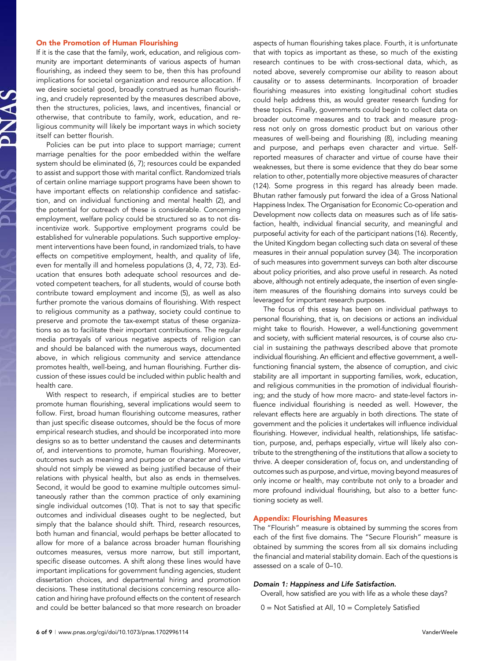### On the Promotion of Human Flourishing

If it is the case that the family, work, education, and religious community are important determinants of various aspects of human flourishing, as indeed they seem to be, then this has profound implications for societal organization and resource allocation. If we desire societal good, broadly construed as human flourishing, and crudely represented by the measures described above, then the structures, policies, laws, and incentives, financial or otherwise, that contribute to family, work, education, and religious community will likely be important ways in which society itself can better flourish.

Policies can be put into place to support marriage; current marriage penalties for the poor embedded within the welfare system should be eliminated (6, 7); resources could be expanded to assist and support those with marital conflict. Randomized trials of certain online marriage support programs have been shown to have important effects on relationship confidence and satisfaction, and on individual functioning and mental health (2), and the potential for outreach of these is considerable. Concerning employment, welfare policy could be structured so as to not disincentivize work. Supportive employment programs could be established for vulnerable populations. Such supportive employment interventions have been found, in randomized trials, to have effects on competitive employment, health, and quality of life, even for mentally ill and homeless populations (3, 4, 72, 73). Education that ensures both adequate school resources and devoted competent teachers, for all students, would of course both contribute toward employment and income (5), as well as also further promote the various domains of flourishing. With respect to religious community as a pathway, society could continue to preserve and promote the tax-exempt status of these organizations so as to facilitate their important contributions. The regular media portrayals of various negative aspects of religion can and should be balanced with the numerous ways, documented above, in which religious community and service attendance promotes health, well-being, and human flourishing. Further discussion of these issues could be included within public health and health care.

With respect to research, if empirical studies are to better promote human flourishing, several implications would seem to follow. First, broad human flourishing outcome measures, rather than just specific disease outcomes, should be the focus of more empirical research studies, and should be incorporated into more designs so as to better understand the causes and determinants of, and interventions to promote, human flourishing. Moreover, outcomes such as meaning and purpose or character and virtue should not simply be viewed as being justified because of their relations with physical health, but also as ends in themselves. Second, it would be good to examine multiple outcomes simultaneously rather than the common practice of only examining single individual outcomes (10). That is not to say that specific outcomes and individual diseases ought to be neglected, but simply that the balance should shift. Third, research resources, both human and financial, would perhaps be better allocated to allow for more of a balance across broader human flourishing outcomes measures, versus more narrow, but still important, specific disease outcomes. A shift along these lines would have important implications for government funding agencies, student dissertation choices, and departmental hiring and promotion decisions. These institutional decisions concerning resource allocation and hiring have profound effects on the content of research and could be better balanced so that more research on broader

aspects of human flourishing takes place. Fourth, it is unfortunate that with topics as important as these, so much of the existing research continues to be with cross-sectional data, which, as noted above, severely compromise our ability to reason about causality or to assess determinants. Incorporation of broader flourishing measures into existing longitudinal cohort studies could help address this, as would greater research funding for these topics. Finally, governments could begin to collect data on broader outcome measures and to track and measure progress not only on gross domestic product but on various other measures of well-being and flourishing (8), including meaning and purpose, and perhaps even character and virtue. Selfreported measures of character and virtue of course have their weaknesses, but there is some evidence that they do bear some relation to other, potentially more objective measures of character (124). Some progress in this regard has already been made. Bhutan rather famously put forward the idea of a Gross National Happiness Index. The Organisation for Economic Co-operation and Development now collects data on measures such as of life satisfaction, health, individual financial security, and meaningful and purposeful activity for each of the participant nations (16). Recently, the United Kingdom began collecting such data on several of these measures in their annual population survey (34). The incorporation of such measures into government surveys can both alter discourse about policy priorities, and also prove useful in research. As noted above, although not entirely adequate, the insertion of even singleitem measures of the flourishing domains into surveys could be leveraged for important research purposes.

The focus of this essay has been on individual pathways to personal flourishing, that is, on decisions or actions an individual might take to flourish. However, a well-functioning government and society, with sufficient material resources, is of course also crucial in sustaining the pathways described above that promote individual flourishing. An efficient and effective government, a wellfunctioning financial system, the absence of corruption, and civic stability are all important in supporting families, work, education, and religious communities in the promotion of individual flourishing; and the study of how more macro- and state-level factors influence individual flourishing is needed as well. However, the relevant effects here are arguably in both directions. The state of government and the policies it undertakes will influence individual flourishing. However, individual health, relationships, life satisfaction, purpose, and, perhaps especially, virtue will likely also contribute to the strengthening of the institutions that allow a society to thrive. A deeper consideration of, focus on, and understanding of outcomes such as purpose, and virtue, moving beyond measures of only income or health, may contribute not only to a broader and more profound individual flourishing, but also to a better functioning society as well.

# Appendix: Flourishing Measures

The "Flourish" measure is obtained by summing the scores from each of the first five domains. The "Secure Flourish" measure is obtained by summing the scores from all six domains including the financial and material stability domain. Each of the questions is assessed on a scale of 0–10.

# Domain 1: Happiness and Life Satisfaction.

Overall, how satisfied are you with life as a whole these days?

 $0 =$  Not Satisfied at All,  $10 =$  Completely Satisfied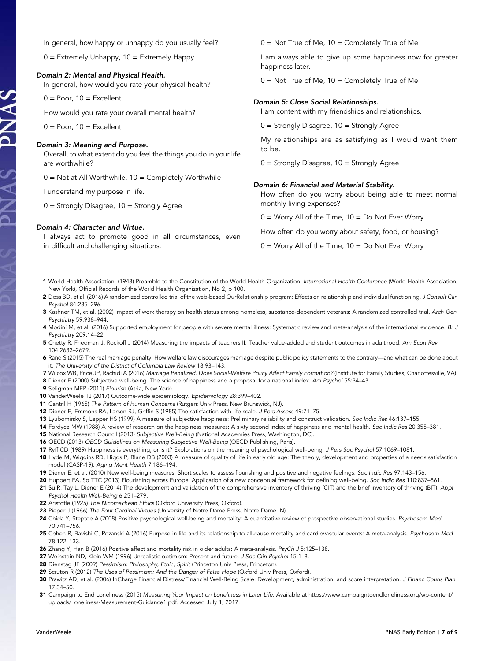| In general, how happy or unhappy do you usually feel?                                                                                | $0 = Not True of Me, 10 = Completely True of Me$                                                                                  |
|--------------------------------------------------------------------------------------------------------------------------------------|-----------------------------------------------------------------------------------------------------------------------------------|
| $0 =$ Extremely Unhappy, $10 =$ Extremely Happy                                                                                      | am always able to give up some happiness now for greater<br>happiness later.                                                      |
| Domain 2: Mental and Physical Health.<br>In general, how would you rate your physical health?                                        | $0 =$ Not True of Me, $10 =$ Completely True of Me                                                                                |
| $0 =$ Poor, $10 =$ Excellent                                                                                                         | Domain 5: Close Social Relationships.<br>am content with my friendships and relationships.                                        |
| How would you rate your overall mental health?                                                                                       |                                                                                                                                   |
| $0 =$ Poor, $10 =$ Excellent                                                                                                         | $0 =$ Strongly Disagree, $10 =$ Strongly Agree                                                                                    |
| Domain 3: Meaning and Purpose.<br>Overall, to what extent do you feel the things you do in your life<br>are worthwhile?              | My relationships are as satisfying as I would want them<br>to be.                                                                 |
|                                                                                                                                      | $0 =$ Strongly Disagree, $10 =$ Strongly Agree                                                                                    |
| $0 =$ Not at All Worthwhile, $10 =$ Completely Worthwhile                                                                            | Domain 6: Financial and Material Stability.<br>How often do you worry about being able to meet normal<br>monthly living expenses? |
| I understand my purpose in life.                                                                                                     |                                                                                                                                   |
| $0 =$ Strongly Disagree, $10 =$ Strongly Agree                                                                                       |                                                                                                                                   |
|                                                                                                                                      | $0 =$ Worry All of the Time, $10 =$ Do Not Ever Worry                                                                             |
| Domain 4: Character and Virtue.<br>always act to promote good in all circumstances, even<br>in difficult and challenging situations. | How often do you worry about safety, food, or housing?                                                                            |
|                                                                                                                                      | $0 =$ Worry All of the Time, $10 =$ Do Not Ever Worry                                                                             |
|                                                                                                                                      |                                                                                                                                   |

- 1 World Health Association (1948) Preamble to the Constitution of the World Health Organization. International Health Conference (World Health Association, New York), Official Records of the World Health Organization, No 2, p 100.
- 2 Doss BD, et al. (2016) A randomized controlled trial of the web-based OurRelationship program: Effects on relationship and individual functioning. J Consult Clin Psychol 84:285–296.
- 3 Kashner TM, et al. (2002) Impact of work therapy on health status among homeless, substance-dependent veterans: A randomized controlled trial. Arch Gen Psychiatry 59:938–944.
- 4 Modini M, et al. (2016) Supported employment for people with severe mental illness: Systematic review and meta-analysis of the international evidence. Br J Psychiatry 209:14–22.
- 5 Chetty R, Friedman J, Rockoff J (2014) Measuring the impacts of teachers II: Teacher value-added and student outcomes in adulthood. Am Econ Rev 104:2633–2679.
- 6 Rand S (2015) The real marriage penalty: How welfare law discourages marriage despite public policy statements to the contrary—and what can be done about it. The University of the District of Columbia Law Review 18:93–143.
- 7 Wilcox WB, Price JP, Rachidi A (2016) Marriage Penalized. Does Social-Welfare Policy Affect Family Formation? (Institute for Family Studies, Charlottesville, VA).
- 8 Diener E (2000) Subjective well-being. The science of happiness and a proposal for a national index. Am Psychol 55:34-43.
- 9 Seligman MEP (2011) Flourish (Atria, New York).
- 10 VanderWeele TJ (2017) Outcome-wide epidemiology. Epidemiology 28:399–402.
- 11 Cantril H (1965) The Pattern of Human Concerns (Rutgers Univ Press, New Brunswick, NJ).
- 12 Diener E, Emmons RA, Larsen RJ, Griffin S (1985) The satisfaction with life scale. J Pers Assess 49:71–75.
- 13 Lyubomirsky S, Lepper HS (1999) A measure of subjective happiness: Preliminary reliability and construct validation. Soc Indic Res 46:137-155.
- 14 Fordyce MW (1988) A review of research on the happiness measures: A sixty second index of happiness and mental health. Soc Indic Res 20:355-381.
- 15 National Research Council (2013) Subjective Well-Being (National Academies Press, Washington, DC).
- 16 OECD (2013) OECD Guidelines on Measuring Subjective Well-Being (OECD Publishing, Paris).
- 17 Ryff CD (1989) Happiness is everything, or is it? Explorations on the meaning of psychological well-being. J Pers Soc Psychol 57:1069-1081.
- 18 Hyde M, Wiggins RD, Higgs P, Blane DB (2003) A measure of quality of life in early old age: The theory, development and properties of a needs satisfaction model (CASP-19). Aging Ment Health 7:186–194.
- 19 Diener E, et al. (2010) New well-being measures: Short scales to assess flourishing and positive and negative feelings. Soc Indic Res 97:143–156.
- 20 Huppert FA, So TTC (2013) Flourishing across Europe: Application of a new conceptual framework for defining well-being. Soc Indic Res 110:837-861.
- 21 Su R, Tay L, Diener E (2014) The development and validation of the comprehensive inventory of thriving (CIT) and the brief inventory of thriving (BIT). Appl Psychol Health Well-Being 6:251–279.
- 22 Aristotle (1925) The Nicomachean Ethics (Oxford University Press, Oxford).
- 23 Pieper J (1966) The Four Cardinal Virtues (University of Notre Dame Press, Notre Dame IN).
- 24 Chida Y, Steptoe A (2008) Positive psychological well-being and mortality: A quantitative review of prospective observational studies. Psychosom Med 70:741–756.
- 25 Cohen R, Bavishi C, Rozanski A (2016) Purpose in life and its relationship to all-cause mortality and cardiovascular events: A meta-analysis. Psychosom Med 78:122–133.
- 26 Zhang Y, Han B (2016) Positive affect and mortality risk in older adults: A meta-analysis. PsyCh J 5:125-138.
- 27 Weinstein ND, Klein WM (1996) Unrealistic optimism: Present and future. J Soc Clin Psychol 15:1-8.
- 28 Dienstag JF (2009) Pessimism: Philosophy, Ethic, Spirit (Princeton Univ Press, Princeton).
- 29 Scruton R (2012) The Uses of Pessimism: And the Danger of False Hope (Oxford Univ Press, Oxford).
- 30 Prawitz AD, et al. (2006) InCharge Financial Distress/Financial Well-Being Scale: Development, administration, and score interpretation. J Financ Couns Plan 17:34–50.
- 31 Campaign to End Loneliness (2015) Measuring Your Impact on Loneliness in Later Life. Available at [https://www.campaigntoendloneliness.org/wp-content/](https://www.campaigntoendloneliness.org/wp-content/uploads/Loneliness-Measurement-Guidance1.pdf) [uploads/Loneliness-Measurement-Guidance1.pdf.](https://www.campaigntoendloneliness.org/wp-content/uploads/Loneliness-Measurement-Guidance1.pdf) Accessed July 1, 2017.

SVNG SVNG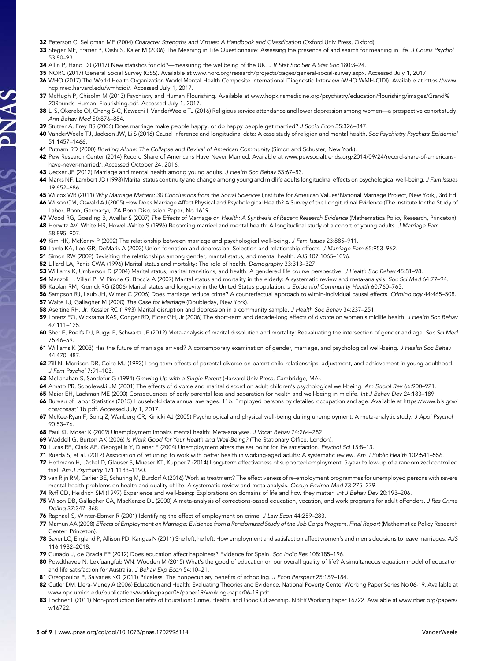- 32 Peterson C, Seligman ME (2004) Character Strengths and Virtues: A Handbook and Classification (Oxford Univ Press, Oxford).
- 33 Steger MF, Frazier P, Oishi S, Kaler M (2006) The Meaning in Life Questionnaire: Assessing the presence of and search for meaning in life. J Couns Psychol 53:80–93.
- 34 Allin P, Hand DJ (2017) New statistics for old?—measuring the wellbeing of the UK. J R Stat Soc Ser A Stat Soc 180:3-24.
- 35 NORC (2017) General Social Survey (GSS). Available at [www.norc.org/research/projects/pages/general-social-survey.aspx.](http://www.norc.org/research/projects/pages/general-social-survey.aspx) Accessed July 1, 2017.
- 36 WHO (2017) The World Health Organization World Mental Health Composite International Diagnostic Interview (WHO WMH-CIDI). Available at [https://www.](https://www.hcp.med.harvard.edu/wmhcidi/) [hcp.med.harvard.edu/wmhcidi/](https://www.hcp.med.harvard.edu/wmhcidi/). Accessed July 1, 2017.
- 37 McHugh P, Chisolm M (2013) Psychiatry and Human Flourishing. Available at [www.hopkinsmedicine.org/psychiatry/education/flourishing/images/Grand%](http://www.hopkinsmedicine.org/psychiatry/education/flourishing/images/Grand%20Rounds_Human_Flourishing.pdf) [20Rounds\\_Human\\_Flourishing.pdf.](http://www.hopkinsmedicine.org/psychiatry/education/flourishing/images/Grand%20Rounds_Human_Flourishing.pdf) Accessed July 1, 2017.
- 38 Li S, Okereke OI, Chang S-C, Kawachi I, VanderWeele TJ (2016) Religious service attendance and lower depression among women—a prospective cohort study. Ann Behav Med 50:876–884.
- 39 Stutzer A, Frey BS (2006) Does marriage make people happy, or do happy people get married? J Socio Econ 35:326-347.
- 40 VanderWeele TJ, Jackson JW, Li S (2016) Causal inference and longitudinal data: A case study of religion and mental health. Soc Psychiatry Psychiatr Epidemiol 51:1457–1466.
- 41 Putnam RD (2000) Bowling Alone: The Collapse and Revival of American Community (Simon and Schuster, New York).
- 42 Pew Research Center (2014) Record Share of Americans Have Never Married. Available at [www.pewsocialtrends.org/2014/09/24/record-share-of-americans](http://www.pewsocialtrends.org/2014/09/24/record-share-of-americans-have-never-married/)[have-never-married/](http://www.pewsocialtrends.org/2014/09/24/record-share-of-americans-have-never-married/). Accessed October 24, 2016.
- 43 Uecker JE (2012) Marriage and mental health among young adults. J Health Soc Behav 53:67-83.

**SANAS** 

S<br>A<br>7

- 44 Marks NF, Lambert JD (1998) Marital status continuity and change among young and midlife adults longitudinal effects on psychological well-being. J Fam Issues 19:652–686.
- 45 Wilcox WB (2011) Why Marriage Matters: 30 Conclusions from the Social Sciences (Institute for American Values/National Marriage Project, New York), 3rd Ed.
- 46 Wilson CM, Oswald AJ (2005) How Does Marriage Affect Physical and Psychological Health? A Survey of the Longitudinal Evidence (The Institute for the Study of Labor, Bonn, Germany), IZA Bonn Discussion Paper, No 1619.
- 47 Wood RG, Goesling B, Avellar S (2007) The Effects of Marriage on Health: A Synthesis of Recent Research Evidence (Mathematica Policy Research, Princeton). 48 Horwitz AV, White HR, Howell-White S (1996) Becoming married and mental health: A longitudinal study of a cohort of young adults. J Marriage Fam 58:895–907.
- 49 Kim HK, McKenry P (2002) The relationship between marriage and psychological well-being. J Fam Issues 23:885–911.
- 50 Lamb KA, Lee GR, DeMaris A (2003) Union formation and depression: Selection and relationship effects. J Marriage Fam 65:953-962.
- 51 Simon RW (2002) Revisiting the relationships among gender, marital status, and mental health. AJS 107:1065–1096.
- 52 Lillard LA, Panis CWA (1996) Marital status and mortality: The role of health. Demography 33:313–327.
- 53 Williams K, Umberson D (2004) Marital status, marital transitions, and health: A gendered life course perspective. J Health Soc Behav 45:81-98.
- 54 Manzoli L, Villari P, M Pirone G, Boccia A (2007) Marital status and mortality in the elderly: A systematic review and meta-analysis. Soc Sci Med 64:77-94.
- 55 Kaplan RM, Kronick RG (2006) Marital status and longevity in the United States population. J Epidemiol Community Health 60:760-765.
- 56 Sampson RJ, Laub JH, Wimer C (2006) Does marriage reduce crime? A counterfactual approach to within-individual causal effects. Criminology 44:465-508.
- 57 Waite LJ, Gallagher M (2000) The Case for Marriage (Doubleday, New York).
- 58 Aseltine RH, Jr, Kessler RC (1993) Marital disruption and depression in a community sample. J Health Soc Behav 34:237-251.
- 59 Lorenz FO, Wickrama KAS, Conger RD, Elder GH, Jr (2006) The short-term and decade-long effects of divorce on women's midlife health. J Health Soc Behav 47:111–125.
- 60 Shor E, Roelfs DJ, Bugyi P, Schwartz JE (2012) Meta-analysis of marital dissolution and mortality: Reevaluating the intersection of gender and age. Soc Sci Med 75:46–59.
- 61 Williams K (2003) Has the future of marriage arrived? A contemporary examination of gender, marriage, and psychological well-being. J Health Soc Behav 44:470–487.
- 62 Zill N, Morrison DR, Coiro MJ (1993) Long-term effects of parental divorce on parent-child relationships, adjustment, and achievement in young adulthood. J Fam Psychol 7:91–103.
- 63 McLanahan S, Sandefur G (1994) Growing Up with a Single Parent (Harvard Univ Press, Cambridge, MA).
- 64 Amato PR, Sobolewski JM (2001) The effects of divorce and marital discord on adult children's psychological well-being. Am Sociol Rev 66:900-921.
- 65 Maier EH, Lachman ME (2000) Consequences of early parental loss and separation for health and well-being in midlife. Int J Behav Dev 24:183-189.
- 66 Bureau of Labor Statistics (2015) Household data annual averages. 11b. Employed persons by detailed occupation and age. Available at [https://www.bls.gov/](https://www.bls.gov/cps/cpsaat11b.pdf) [cps/cpsaat11b.pdf.](https://www.bls.gov/cps/cpsaat11b.pdf) Accessed July 1, 2017.
- 67 McKee-Ryan F, Song Z, Wanberg CR, Kinicki AJ (2005) Psychological and physical well-being during unemployment: A meta-analytic study. J Appl Psychol 90:53–76.
- 68 Paul KI, Moser K (2009) Unemployment impairs mental health: Meta-analyses. J Vocat Behav 74:264–282.
- 69 Waddell G, Burton AK (2006) Is Work Good for Your Health and Well-Being? (The Stationary Office, London).
- 70 Lucas RE, Clark AE, Georgellis Y, Diener E (2004) Unemployment alters the set point for life satisfaction. Psychol Sci 15:8–13.
- 71 Rueda S, et al. (2012) Association of returning to work with better health in working-aged adults: A systematic review. Am J Public Health 102:541-556.
- 72 Hoffmann H, Jäckel D, Glauser S, Mueser KT, Kupper Z (2014) Long-term effectiveness of supported employment: 5-year follow-up of a randomized controlled trial. Am J Psychiatry 171:1183–1190.
- 73 van Rijn RM, Carlier BE, Schuring M, Burdorf A (2016) Work as treatment? The effectiveness of re-employment programmes for unemployed persons with severe mental health problems on health and quality of life: A systematic review and meta-analysis. Occup Environ Med 73:275–279.
- 74 Ryff CD, Heidrich SM (1997) Experience and well-being: Explorations on domains of life and how they matter. Int J Behav Dev 20:193–206.
- 75 Wilson DB, Gallagher CA, MacKenzie DL (2000) A meta-analysis of corrections-based education, vocation, and work programs for adult offenders. J Res Crime Delinq 37:347–368.
- 76 Raphael S, Winter-Ebmer R (2001) Identifying the effect of employment on crime. J Law Econ 44:259–283.
- 77 Mamun AA (2008) Effects of Employment on Marriage: Evidence from a Randomized Study of the Job Corps Program. Final Report (Mathematica Policy Research Center, Princeton).
- 78 Sayer LC, England P, Allison PD, Kangas N (2011) She left, he left: How employment and satisfaction affect women's and men's decisions to leave marriages. AJS 116:1982–2018.
- 79 Cunado J, de Gracia FP (2012) Does education affect happiness? Evidence for Spain. Soc Indic Res 108:185–196.
- 80 Powdthavee N, Lekfuangfub WN, Wooden M (2015) What's the good of education on our overall quality of life? A simultaneous equation model of education and life satisfaction for Australia. J Behav Exp Econ 54:10–21.
- 81 Oreopoulos P, Salvanes KG (2011) Priceless: The nonpecuniary benefits of schooling. J Econ Perspect 25:159-184.
- 82 Cutler DM, Llera-Muney A (2006) Education and Health: Evaluating Theories and Evidence. National Poverty Center Working Paper Series No 06-19. Available at [www.npc.umich.edu/publications/workingpaper06/paper19/working-paper06-19.pdf.](http://www.npc.umich.edu/publications/workingpaper06/paper19/working-paper06-19.pdf)
- 83 Lochner L (2011) Non-production Benefits of Education: Crime, Health, and Good Citizenship. NBER Working Paper 16722. Available at [www.nber.org/papers/](http://www.nber.org/papers/w16722) [w16722.](http://www.nber.org/papers/w16722)